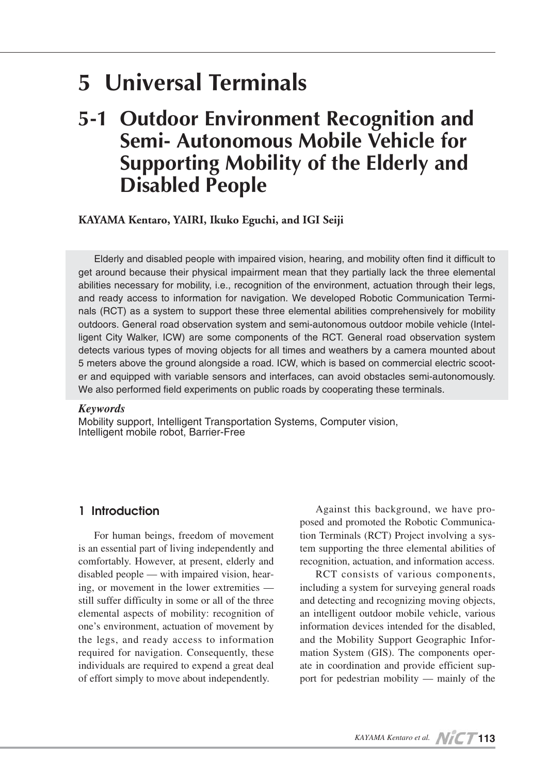# **5 Universal Terminals**

## **5-1 Outdoor Environment Recognition and Semi- Autonomous Mobile Vehicle for Supporting Mobility of the Elderly and Disabled People**

## **KAYAMA Kentaro, YAIRI, Ikuko Eguchi, and IGI Seiji**

Elderly and disabled people with impaired vision, hearing, and mobility often find it difficult to get around because their physical impairment mean that they partially lack the three elemental abilities necessary for mobility, i.e., recognition of the environment, actuation through their legs, and ready access to information for navigation. We developed Robotic Communication Terminals (RCT) as a system to support these three elemental abilities comprehensively for mobility outdoors. General road observation system and semi-autonomous outdoor mobile vehicle (Intelligent City Walker, ICW) are some components of the RCT. General road observation system detects various types of moving objects for all times and weathers by a camera mounted about 5 meters above the ground alongside a road. ICW, which is based on commercial electric scooter and equipped with variable sensors and interfaces, can avoid obstacles semi-autonomously. We also performed field experiments on public roads by cooperating these terminals.

#### *Keywords*

Mobility support, Intelligent Transportation Systems, Computer vision, Intelligent mobile robot, Barrier-Free

## **1 Introduction**

For human beings, freedom of movement is an essential part of living independently and comfortably. However, at present, elderly and disabled people — with impaired vision, hearing, or movement in the lower extremities still suffer difficulty in some or all of the three elemental aspects of mobility: recognition of one's environment, actuation of movement by the legs, and ready access to information required for navigation. Consequently, these individuals are required to expend a great deal of effort simply to move about independently.

Against this background, we have proposed and promoted the Robotic Communication Terminals (RCT) Project involving a system supporting the three elemental abilities of recognition, actuation, and information access.

RCT consists of various components, including a system for surveying general roads and detecting and recognizing moving objects, an intelligent outdoor mobile vehicle, various information devices intended for the disabled, and the Mobility Support Geographic Information System (GIS). The components operate in coordination and provide efficient support for pedestrian mobility — mainly of the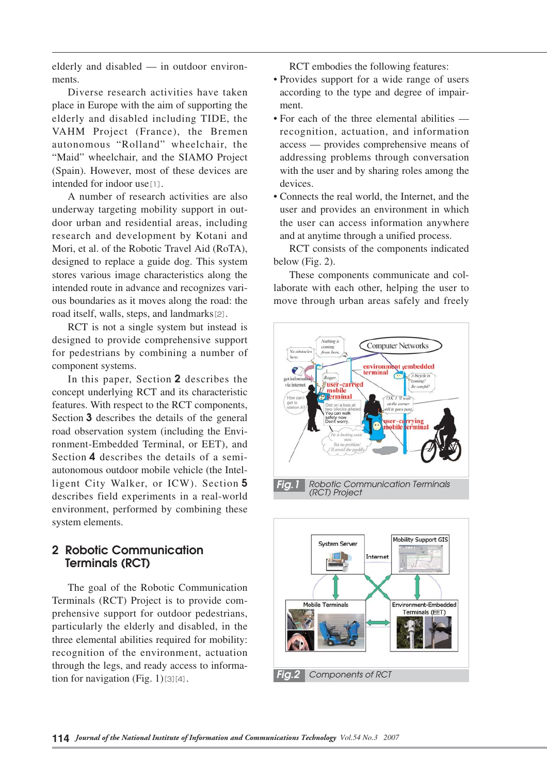elderly and disabled — in outdoor environments.

Diverse research activities have taken place in Europe with the aim of supporting the elderly and disabled including TIDE, the VAHM Project (France), the Bremen autonomous "Rolland" wheelchair, the "Maid" wheelchair, and the SIAMO Project (Spain). However, most of these devices are intended for indoor use<sup>[1]</sup>.

A number of research activities are also underway targeting mobility support in outdoor urban and residential areas, including research and development by Kotani and Mori, et al. of the Robotic Travel Aid (RoTA), designed to replace a guide dog. This system stores various image characteristics along the intended route in advance and recognizes various boundaries as it moves along the road: the road itself, walls, steps, and landmarks[2].

RCT is not a single system but instead is designed to provide comprehensive support for pedestrians by combining a number of component systems.

In this paper, Section  $2$  describes the concept underlying RCT and its characteristic features. With respect to the RCT components, Section  $\overline{3}$  describes the details of the general road observation system (including the Environment-Embedded Terminal, or EET), and Section 4 describes the details of a semiautonomous outdoor mobile vehicle (the Intelligent City Walker, or ICW). Section 5 describes field experiments in a real-world environment, performed by combining these system elements.

## **2 Robotic Communication Terminals (RCT)**

The goal of the Robotic Communication Terminals (RCT) Project is to provide comprehensive support for outdoor pedestrians, particularly the elderly and disabled, in the three elemental abilities required for mobility: recognition of the environment, actuation through the legs, and ready access to information for navigation (Fig. 1) $[3][4]$ .

RCT embodies the following features:

- Provides support for a wide range of users according to the type and degree of impairment.
- For each of the three elemental abilities recognition, actuation, and information access — provides comprehensive means of addressing problems through conversation with the user and by sharing roles among the devices.
- Connects the real world, the Internet, and the user and provides an environment in which the user can access information anywhere and at anytime through a unified process.

RCT consists of the components indicated below (Fig. 2).

These components communicate and collaborate with each other, helping the user to move through urban areas safely and freely

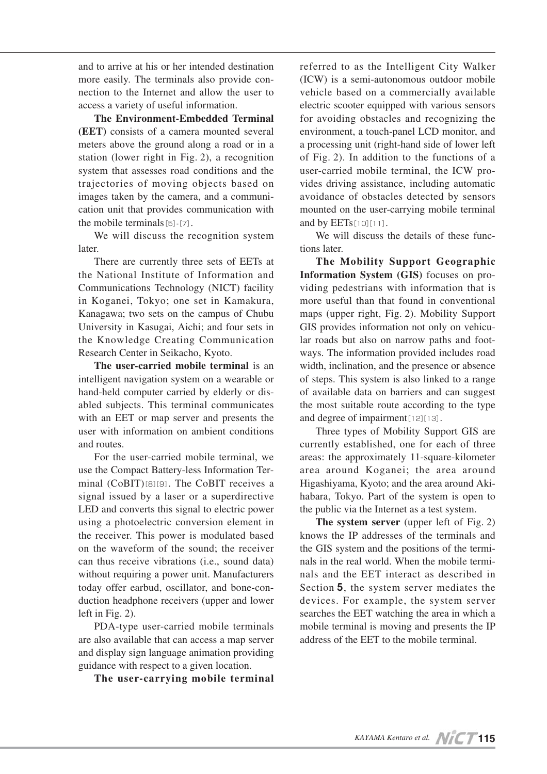and to arrive at his or her intended destination more easily. The terminals also provide connection to the Internet and allow the user to access a variety of useful information.

**The Environment-Embedded Terminal (EET)** consists of a camera mounted several meters above the ground along a road or in a station (lower right in Fig. 2), a recognition system that assesses road conditions and the trajectories of moving objects based on images taken by the camera, and a communication unit that provides communication with the mobile terminals $[5]$ - $[7]$ .

We will discuss the recognition system later.

There are currently three sets of EETs at the National Institute of Information and Communications Technology (NICT) facility in Koganei, Tokyo; one set in Kamakura, Kanagawa; two sets on the campus of Chubu University in Kasugai, Aichi; and four sets in the Knowledge Creating Communication Research Center in Seikacho, Kyoto.

**The user-carried mobile terminal** is an intelligent navigation system on a wearable or hand-held computer carried by elderly or disabled subjects. This terminal communicates with an EET or map server and presents the user with information on ambient conditions and routes.

For the user-carried mobile terminal, we use the Compact Battery-less Information Terminal (CoBIT)[8][9]. The CoBIT receives a signal issued by a laser or a superdirective LED and converts this signal to electric power using a photoelectric conversion element in the receiver. This power is modulated based on the waveform of the sound; the receiver can thus receive vibrations (i.e., sound data) without requiring a power unit. Manufacturers today offer earbud, oscillator, and bone-conduction headphone receivers (upper and lower left in Fig. 2).

PDA-type user-carried mobile terminals are also available that can access a map server and display sign language animation providing guidance with respect to a given location.

**The user-carrying mobile terminal**

referred to as the Intelligent City Walker (ICW) is a semi-autonomous outdoor mobile vehicle based on a commercially available electric scooter equipped with various sensors for avoiding obstacles and recognizing the environment, a touch-panel LCD monitor, and a processing unit (right-hand side of lower left of Fig. 2). In addition to the functions of a user-carried mobile terminal, the ICW provides driving assistance, including automatic avoidance of obstacles detected by sensors mounted on the user-carrying mobile terminal and by EETs[10][11].

We will discuss the details of these functions later.

**The Mobility Support Geographic Information System (GIS)** focuses on providing pedestrians with information that is more useful than that found in conventional maps (upper right, Fig. 2). Mobility Support GIS provides information not only on vehicular roads but also on narrow paths and footways. The information provided includes road width, inclination, and the presence or absence of steps. This system is also linked to a range of available data on barriers and can suggest the most suitable route according to the type and degree of impairment[12][13].

Three types of Mobility Support GIS are currently established, one for each of three areas: the approximately 11-square-kilometer area around Koganei; the area around Higashiyama, Kyoto; and the area around Akihabara, Tokyo. Part of the system is open to the public via the Internet as a test system.

**The system server** (upper left of Fig. 2) knows the IP addresses of the terminals and the GIS system and the positions of the terminals in the real world. When the mobile terminals and the EET interact as described in Section 5, the system server mediates the devices. For example, the system server searches the EET watching the area in which a mobile terminal is moving and presents the IP address of the EET to the mobile terminal.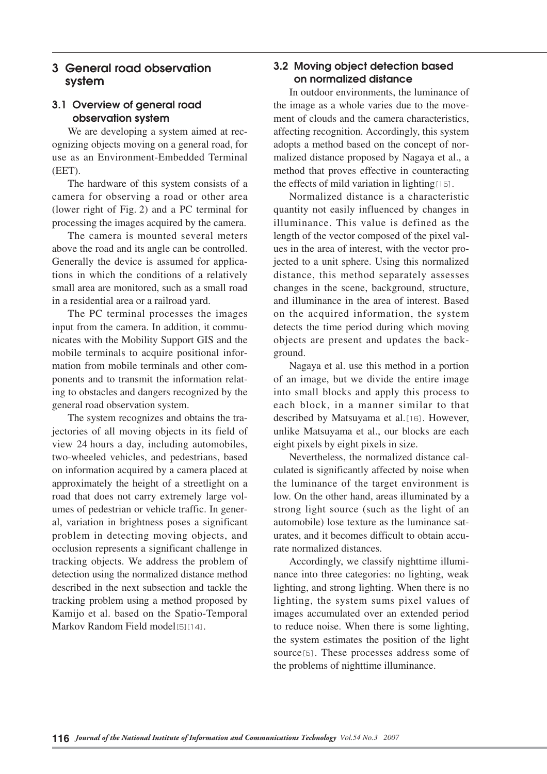## **3 General road observation system**

## **3.1 Overview of general road observation system**

We are developing a system aimed at recognizing objects moving on a general road, for use as an Environment-Embedded Terminal (EET).

The hardware of this system consists of a camera for observing a road or other area (lower right of Fig. 2) and a PC terminal for processing the images acquired by the camera.

The camera is mounted several meters above the road and its angle can be controlled. Generally the device is assumed for applications in which the conditions of a relatively small area are monitored, such as a small road in a residential area or a railroad yard.

The PC terminal processes the images input from the camera. In addition, it communicates with the Mobility Support GIS and the mobile terminals to acquire positional information from mobile terminals and other components and to transmit the information relating to obstacles and dangers recognized by the general road observation system.

The system recognizes and obtains the trajectories of all moving objects in its field of view 24 hours a day, including automobiles, two-wheeled vehicles, and pedestrians, based on information acquired by a camera placed at approximately the height of a streetlight on a road that does not carry extremely large volumes of pedestrian or vehicle traffic. In general, variation in brightness poses a significant problem in detecting moving objects, and occlusion represents a significant challenge in tracking objects. We address the problem of detection using the normalized distance method described in the next subsection and tackle the tracking problem using a method proposed by Kamijo et al. based on the Spatio-Temporal Markov Random Field model[5][14].

## **3.2 Moving object detection based on normalized distance**

In outdoor environments, the luminance of the image as a whole varies due to the movement of clouds and the camera characteristics, affecting recognition. Accordingly, this system adopts a method based on the concept of normalized distance proposed by Nagaya et al., a method that proves effective in counteracting the effects of mild variation in lighting[15].

Normalized distance is a characteristic quantity not easily influenced by changes in illuminance. This value is defined as the length of the vector composed of the pixel values in the area of interest, with the vector projected to a unit sphere. Using this normalized distance, this method separately assesses changes in the scene, background, structure, and illuminance in the area of interest. Based on the acquired information, the system detects the time period during which moving objects are present and updates the background.

Nagaya et al. use this method in a portion of an image, but we divide the entire image into small blocks and apply this process to each block, in a manner similar to that described by Matsuyama et al.[16]. However, unlike Matsuyama et al., our blocks are each eight pixels by eight pixels in size.

Nevertheless, the normalized distance calculated is significantly affected by noise when the luminance of the target environment is low. On the other hand, areas illuminated by a strong light source (such as the light of an automobile) lose texture as the luminance saturates, and it becomes difficult to obtain accurate normalized distances.

Accordingly, we classify nighttime illuminance into three categories: no lighting, weak lighting, and strong lighting. When there is no lighting, the system sums pixel values of images accumulated over an extended period to reduce noise. When there is some lighting, the system estimates the position of the light source[5]. These processes address some of the problems of nighttime illuminance.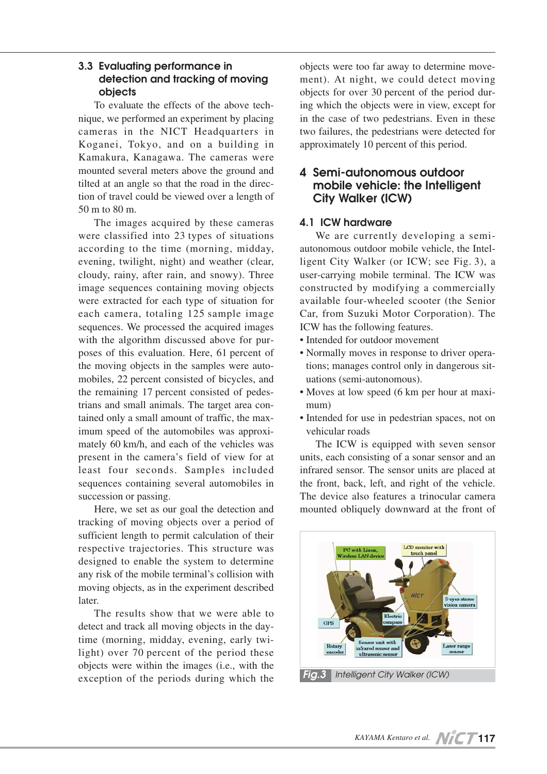## **3.3 Evaluating performance in detection and tracking of moving objects**

To evaluate the effects of the above technique, we performed an experiment by placing cameras in the NICT Headquarters in Koganei, Tokyo, and on a building in Kamakura, Kanagawa. The cameras were mounted several meters above the ground and tilted at an angle so that the road in the direction of travel could be viewed over a length of 50 m to 80 m.

The images acquired by these cameras were classified into 23 types of situations according to the time (morning, midday, evening, twilight, night) and weather (clear, cloudy, rainy, after rain, and snowy). Three image sequences containing moving objects were extracted for each type of situation for each camera, totaling 125 sample image sequences. We processed the acquired images with the algorithm discussed above for purposes of this evaluation. Here, 61 percent of the moving objects in the samples were automobiles, 22 percent consisted of bicycles, and the remaining 17 percent consisted of pedestrians and small animals. The target area contained only a small amount of traffic, the maximum speed of the automobiles was approximately 60 km/h, and each of the vehicles was present in the camera's field of view for at least four seconds. Samples included sequences containing several automobiles in succession or passing.

Here, we set as our goal the detection and tracking of moving objects over a period of sufficient length to permit calculation of their respective trajectories. This structure was designed to enable the system to determine any risk of the mobile terminal's collision with moving objects, as in the experiment described later.

The results show that we were able to detect and track all moving objects in the daytime (morning, midday, evening, early twilight) over 70 percent of the period these objects were within the images (i.e., with the exception of the periods during which the objects were too far away to determine movement). At night, we could detect moving objects for over 30 percent of the period during which the objects were in view, except for in the case of two pedestrians. Even in these two failures, the pedestrians were detected for approximately 10 percent of this period.

## **4 Semi-autonomous outdoor mobile vehicle: the Intelligent City Walker (ICW)**

## **4.1 ICW hardware**

We are currently developing a semiautonomous outdoor mobile vehicle, the Intelligent City Walker (or ICW; see Fig. 3), a user-carrying mobile terminal. The ICW was constructed by modifying a commercially available four-wheeled scooter (the Senior Car, from Suzuki Motor Corporation). The ICW has the following features.

- Intended for outdoor movement
- Normally moves in response to driver operations; manages control only in dangerous situations (semi-autonomous).
- Moves at low speed (6 km per hour at maximum)
- Intended for use in pedestrian spaces, not on vehicular roads

The ICW is equipped with seven sensor units, each consisting of a sonar sensor and an infrared sensor. The sensor units are placed at the front, back, left, and right of the vehicle. The device also features a trinocular camera mounted obliquely downward at the front of

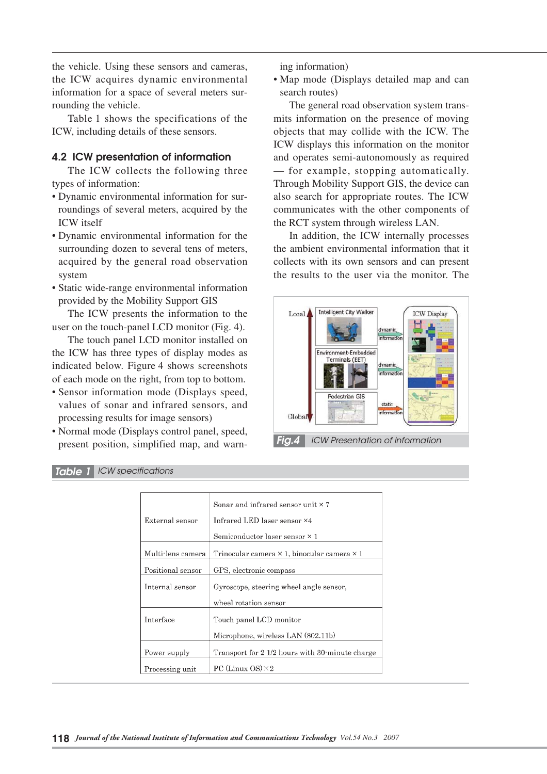the vehicle. Using these sensors and cameras, the ICW acquires dynamic environmental information for a space of several meters surrounding the vehicle.

Table 1 shows the specifications of the ICW, including details of these sensors.

#### **4.2 ICW presentation of information**

The ICW collects the following three types of information:

- Dynamic environmental information for surroundings of several meters, acquired by the ICW itself
- Dynamic environmental information for the surrounding dozen to several tens of meters, acquired by the general road observation system
- Static wide-range environmental information provided by the Mobility Support GIS

The ICW presents the information to the user on the touch-panel LCD monitor (Fig. 4).

The touch panel LCD monitor installed on the ICW has three types of display modes as indicated below. Figure 4 shows screenshots of each mode on the right, from top to bottom.

- Sensor information mode (Displays speed, values of sonar and infrared sensors, and processing results for image sensors)
- Normal mode (Displays control panel, speed, present position, simplified map, and warn-

ing information)

• Map mode (Displays detailed map and can search routes)

The general road observation system transmits information on the presence of moving objects that may collide with the ICW. The ICW displays this information on the monitor and operates semi-autonomously as required — for example, stopping automatically. Through Mobility Support GIS, the device can also search for appropriate routes. The ICW communicates with the other components of the RCT system through wireless LAN.

In addition, the ICW internally processes the ambient environmental information that it collects with its own sensors and can present the results to the user via the monitor. The





|                   | Sonar and infrared sensor unit $\times$ 7                 |
|-------------------|-----------------------------------------------------------|
| External sensor   | Infrared LED laser sensor $\times 4$                      |
|                   | Semiconductor laser sensor $\times$ 1                     |
| Multi-lens camera | Trinocular camera $\times$ 1, binocular camera $\times$ 1 |
| Positional sensor | GPS, electronic compass                                   |
| Internal sensor   | Gyroscope, steering wheel angle sensor,                   |
|                   | wheel rotation sensor                                     |
| Interface         | Touch panel LCD monitor                                   |
|                   | Microphone, wireless LAN (802.11b)                        |
| Power supply      | Transport for 2 1/2 hours with 30 minute charge           |
| Processing unit   | PC (Linux $OS \times 2$                                   |

#### *Table 1 ICW specifications*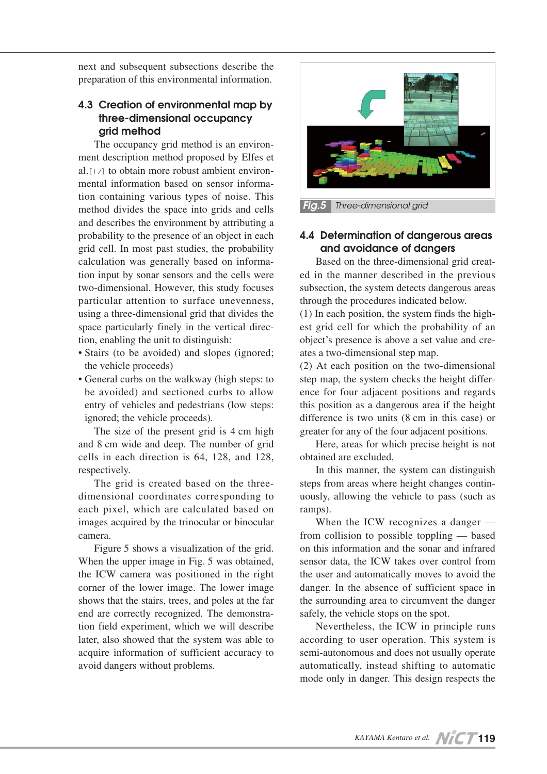next and subsequent subsections describe the preparation of this environmental information.

## **4.3 Creation of environmental map by three-dimensional occupancy grid method**

The occupancy grid method is an environment description method proposed by Elfes et al.<sup>[17]</sup> to obtain more robust ambient environmental information based on sensor information containing various types of noise. This method divides the space into grids and cells and describes the environment by attributing a probability to the presence of an object in each grid cell. In most past studies, the probability calculation was generally based on information input by sonar sensors and the cells were two-dimensional. However, this study focuses particular attention to surface unevenness, using a three-dimensional grid that divides the space particularly finely in the vertical direction, enabling the unit to distinguish:

- Stairs (to be avoided) and slopes (ignored; the vehicle proceeds)
- General curbs on the walkway (high steps: to be avoided) and sectioned curbs to allow entry of vehicles and pedestrians (low steps: ignored; the vehicle proceeds).

The size of the present grid is 4 cm high and 8 cm wide and deep. The number of grid cells in each direction is 64, 128, and 128, respectively.

The grid is created based on the threedimensional coordinates corresponding to each pixel, which are calculated based on images acquired by the trinocular or binocular camera.

Figure 5 shows a visualization of the grid. When the upper image in Fig. 5 was obtained, the ICW camera was positioned in the right corner of the lower image. The lower image shows that the stairs, trees, and poles at the far end are correctly recognized. The demonstration field experiment, which we will describe later, also showed that the system was able to acquire information of sufficient accuracy to avoid dangers without problems.



## **4.4 Determination of dangerous areas and avoidance of dangers**

Based on the three-dimensional grid created in the manner described in the previous subsection, the system detects dangerous areas through the procedures indicated below.

(1) In each position, the system finds the highest grid cell for which the probability of an object's presence is above a set value and creates a two-dimensional step map.

(2) At each position on the two-dimensional step map, the system checks the height difference for four adjacent positions and regards this position as a dangerous area if the height difference is two units (8 cm in this case) or greater for any of the four adjacent positions.

Here, areas for which precise height is not obtained are excluded.

In this manner, the system can distinguish steps from areas where height changes continuously, allowing the vehicle to pass (such as ramps).

When the ICW recognizes a danger from collision to possible toppling — based on this information and the sonar and infrared sensor data, the ICW takes over control from the user and automatically moves to avoid the danger. In the absence of sufficient space in the surrounding area to circumvent the danger safely, the vehicle stops on the spot.

Nevertheless, the ICW in principle runs according to user operation. This system is semi-autonomous and does not usually operate automatically, instead shifting to automatic mode only in danger. This design respects the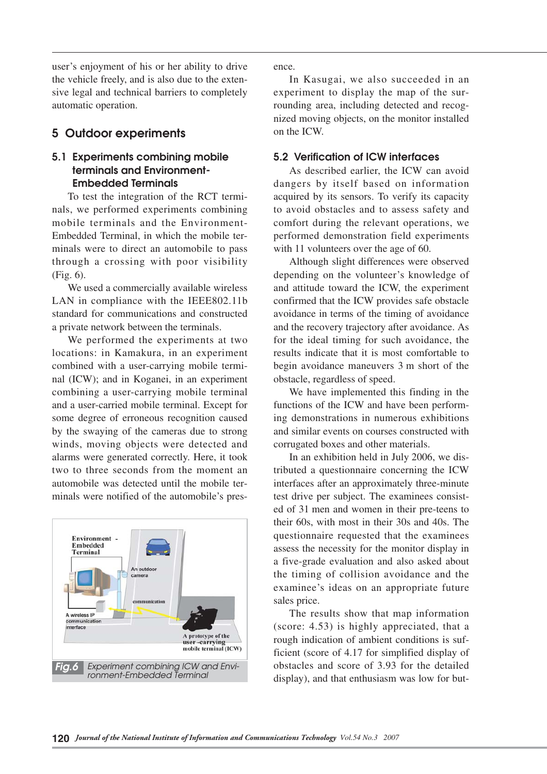user's enjoyment of his or her ability to drive the vehicle freely, and is also due to the extensive legal and technical barriers to completely automatic operation.

## **5 Outdoor experiments**

## **5.1 Experiments combining mobile terminals and Environment-Embedded Terminals**

To test the integration of the RCT terminals, we performed experiments combining mobile terminals and the Environment-Embedded Terminal, in which the mobile terminals were to direct an automobile to pass through a crossing with poor visibility (Fig. 6).

We used a commercially available wireless LAN in compliance with the IEEE802.11b standard for communications and constructed a private network between the terminals.

We performed the experiments at two locations: in Kamakura, in an experiment combined with a user-carrying mobile terminal (ICW); and in Koganei, in an experiment combining a user-carrying mobile terminal and a user-carried mobile terminal. Except for some degree of erroneous recognition caused by the swaying of the cameras due to strong winds, moving objects were detected and alarms were generated correctly. Here, it took two to three seconds from the moment an automobile was detected until the mobile terminals were notified of the automobile's pres-



ence.

In Kasugai, we also succeeded in an experiment to display the map of the surrounding area, including detected and recognized moving objects, on the monitor installed on the ICW.

## **5.2 Verification of ICW interfaces**

As described earlier, the ICW can avoid dangers by itself based on information acquired by its sensors. To verify its capacity to avoid obstacles and to assess safety and comfort during the relevant operations, we performed demonstration field experiments with 11 volunteers over the age of 60.

Although slight differences were observed depending on the volunteer's knowledge of and attitude toward the ICW, the experiment confirmed that the ICW provides safe obstacle avoidance in terms of the timing of avoidance and the recovery trajectory after avoidance. As for the ideal timing for such avoidance, the results indicate that it is most comfortable to begin avoidance maneuvers 3 m short of the obstacle, regardless of speed.

We have implemented this finding in the functions of the ICW and have been performing demonstrations in numerous exhibitions and similar events on courses constructed with corrugated boxes and other materials.

In an exhibition held in July 2006, we distributed a questionnaire concerning the ICW interfaces after an approximately three-minute test drive per subject. The examinees consisted of 31 men and women in their pre-teens to their 60s, with most in their 30s and 40s. The questionnaire requested that the examinees assess the necessity for the monitor display in a five-grade evaluation and also asked about the timing of collision avoidance and the examinee's ideas on an appropriate future sales price.

The results show that map information (score: 4.53) is highly appreciated, that a rough indication of ambient conditions is sufficient (score of 4.17 for simplified display of obstacles and score of 3.93 for the detailed display), and that enthusiasm was low for but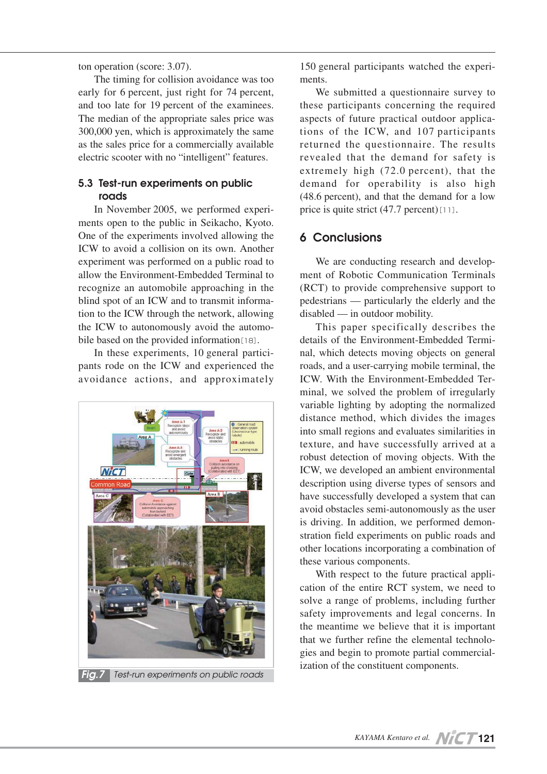ton operation (score: 3.07).

The timing for collision avoidance was too early for 6 percent, just right for 74 percent, and too late for 19 percent of the examinees. The median of the appropriate sales price was 300,000 yen, which is approximately the same as the sales price for a commercially available electric scooter with no "intelligent" features.

## **5.3 Test-run experiments on public roads**

In November 2005, we performed experiments open to the public in Seikacho, Kyoto. One of the experiments involved allowing the ICW to avoid a collision on its own. Another experiment was performed on a public road to allow the Environment-Embedded Terminal to recognize an automobile approaching in the blind spot of an ICW and to transmit information to the ICW through the network, allowing the ICW to autonomously avoid the automobile based on the provided information<sup>[18]</sup>.

In these experiments, 10 general participants rode on the ICW and experienced the avoidance actions, and approximately



150 general participants watched the experiments.

We submitted a questionnaire survey to these participants concerning the required aspects of future practical outdoor applications of the ICW, and 107 participants returned the questionnaire. The results revealed that the demand for safety is extremely high  $(72.0 \text{ percent})$ , that the demand for operability is also high  $(48.6 \text{ percent})$ , and that the demand for a low price is quite strict  $(47.7 \text{ percent})$  [11].

## **6 Conclusions**

We are conducting research and development of Robotic Communication Terminals (RCT) to provide comprehensive support to pedestrians — particularly the elderly and the disabled — in outdoor mobility.

This paper specifically describes the details of the Environment-Embedded Terminal, which detects moving objects on general roads, and a user-carrying mobile terminal, the ICW. With the Environment-Embedded Terminal, we solved the problem of irregularly variable lighting by adopting the normalized distance method, which divides the images into small regions and evaluates similarities in texture, and have successfully arrived at a robust detection of moving objects. With the ICW, we developed an ambient environmental description using diverse types of sensors and have successfully developed a system that can avoid obstacles semi-autonomously as the user is driving. In addition, we performed demonstration field experiments on public roads and other locations incorporating a combination of these various components.

With respect to the future practical application of the entire RCT system, we need to solve a range of problems, including further safety improvements and legal concerns. In the meantime we believe that it is important that we further refine the elemental technologies and begin to promote partial commercial-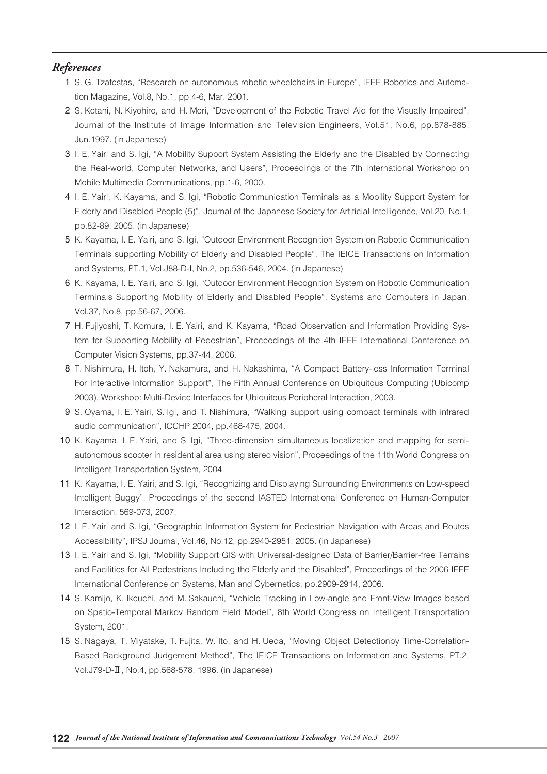## *References*

- 1 S. G. Tzafestas, "Research on autonomous robotic wheelchairs in Europe", IEEE Robotics and Automation Magazine, Vol.8, No.1, pp.4-6, Mar. 2001.
- 2 S. Kotani, N. Kiyohiro, and H. Mori, "Development of the Robotic Travel Aid for the Visually Impaired", Journal of the Institute of Image Information and Television Engineers, Vol.51, No.6, pp.878-885, Jun.1997. (in Japanese)
- 3 I. E. Yairi and S. Igi, "A Mobility Support System Assisting the Elderly and the Disabled by Connecting the Real-world, Computer Networks, and Users", Proceedings of the 7th International Workshop on Mobile Multimedia Communications, pp.1-6, 2000.
- 04 I. E. Yairi, K. Kayama, and S. Igi, "Robotic Communication Terminals as a Mobility Support System for Elderly and Disabled People (5)", Journal of the Japanese Society for Artificial Intelligence, Vol.20, No.1, pp.82-89, 2005. (in Japanese)
- 05 K. Kayama, I. E. Yairi, and S. Igi, "Outdoor Environment Recognition System on Robotic Communication Terminals supporting Mobility of Elderly and Disabled People", The IEICE Transactions on Information and Systems, PT.1, Vol.J88-D-I, No.2, pp.536-546, 2004. (in Japanese)
- 06 K. Kayama, I. E. Yairi, and S. Igi, "Outdoor Environment Recognition System on Robotic Communication Terminals Supporting Mobility of Elderly and Disabled People", Systems and Computers in Japan, Vol.37, No.8, pp.56-67, 2006.
- 07 H. Fujiyoshi, T. Komura, I. E. Yairi, and K. Kayama, "Road Observation and Information Providing System for Supporting Mobility of Pedestrian", Proceedings of the 4th IEEE International Conference on Computer Vision Systems, pp.37-44, 2006.
- 08 T. Nishimura, H. Itoh, Y. Nakamura, and H. Nakashima, "A Compact Battery-less Information Terminal For Interactive Information Support", The Fifth Annual Conference on Ubiquitous Computing (Ubicomp 2003), Workshop: Multi-Device Interfaces for Ubiquitous Peripheral Interaction, 2003.
- 9 S. Oyama, I. E. Yairi, S. Igi, and T. Nishimura, "Walking support using compact terminals with infrared audio communication", ICCHP 2004, pp.468-475, 2004.
- 10 K. Kayama, I. E. Yairi, and S. Igi, "Three-dimension simultaneous localization and mapping for semiautonomous scooter in residential area using stereo vision", Proceedings of the 11th World Congress on Intelligent Transportation System, 2004.
- 11 K. Kayama, I. E. Yairi, and S. Igi, "Recognizing and Displaying Surrounding Environments on Low-speed Intelligent Buggy", Proceedings of the second IASTED International Conference on Human-Computer Interaction, 569-073, 2007.
- 12 I. E. Yairi and S. Igi, "Geographic Information System for Pedestrian Navigation with Areas and Routes Accessibility", IPSJ Journal, Vol.46, No.12, pp.2940-2951, 2005. (in Japanese)
- 13 I. E. Yairi and S. Igi, "Mobility Support GIS with Universal-designed Data of Barrier/Barrier-free Terrains and Facilities for All Pedestrians Including the Elderly and the Disabled", Proceedings of the 2006 IEEE International Conference on Systems, Man and Cybernetics, pp.2909-2914, 2006.
- 14 S. Kamijo, K. Ikeuchi, and M. Sakauchi, "Vehicle Tracking in Low-angle and Front-View Images based on Spatio-Temporal Markov Random Field Model", 8th World Congress on Intelligent Transportation System, 2001.
- 15 S. Nagaya, T. Miyatake, T. Fujita, W. Ito, and H. Ueda, "Moving Object Detectionby Time-Correlation-Based Background Judgement Method", The IEICE Transactions on Information and Systems, PT.2, Vol.J79-D-Ⅱ, No.4, pp.568-578, 1996. (in Japanese)